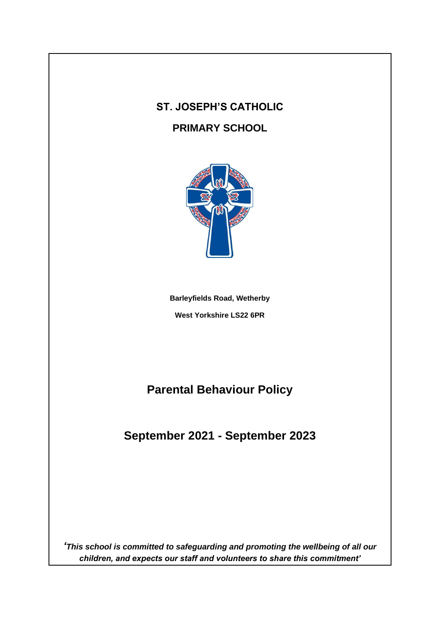# **ST. JOSEPH'S CATHOLIC**

### **PRIMARY SCHOOL**



**Barleyfields Road, Wetherby West Yorkshire LS22 6PR**

**Parental Behaviour Policy**

**September 2021 - September 2023**

*'This school is committed to safeguarding and promoting the wellbeing of all our children, and expects our staff and volunteers to share this commitment'*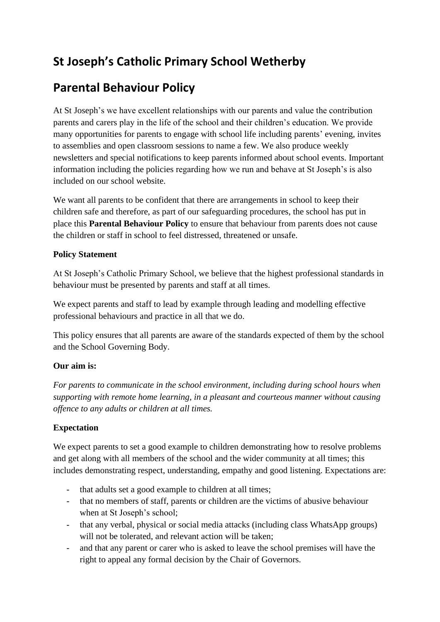## **St Joseph's Catholic Primary School Wetherby**

### **Parental Behaviour Policy**

At St Joseph's we have excellent relationships with our parents and value the contribution parents and carers play in the life of the school and their children's education. We provide many opportunities for parents to engage with school life including parents' evening, invites to assemblies and open classroom sessions to name a few. We also produce weekly newsletters and special notifications to keep parents informed about school events. Important information including the policies regarding how we run and behave at St Joseph's is also included on our school website.

We want all parents to be confident that there are arrangements in school to keep their children safe and therefore, as part of our safeguarding procedures, the school has put in place this **Parental Behaviour Policy** to ensure that behaviour from parents does not cause the children or staff in school to feel distressed, threatened or unsafe.

#### **Policy Statement**

At St Joseph's Catholic Primary School, we believe that the highest professional standards in behaviour must be presented by parents and staff at all times.

We expect parents and staff to lead by example through leading and modelling effective professional behaviours and practice in all that we do.

This policy ensures that all parents are aware of the standards expected of them by the school and the School Governing Body.

#### **Our aim is:**

*For parents to communicate in the school environment, including during school hours when supporting with remote home learning, in a pleasant and courteous manner without causing offence to any adults or children at all times.* 

#### **Expectation**

We expect parents to set a good example to children demonstrating how to resolve problems and get along with all members of the school and the wider community at all times; this includes demonstrating respect, understanding, empathy and good listening. Expectations are:

- that adults set a good example to children at all times;
- that no members of staff, parents or children are the victims of abusive behaviour when at St Joseph's school;
- that any verbal, physical or social media attacks (including class WhatsApp groups) will not be tolerated, and relevant action will be taken;
- and that any parent or carer who is asked to leave the school premises will have the right to appeal any formal decision by the Chair of Governors.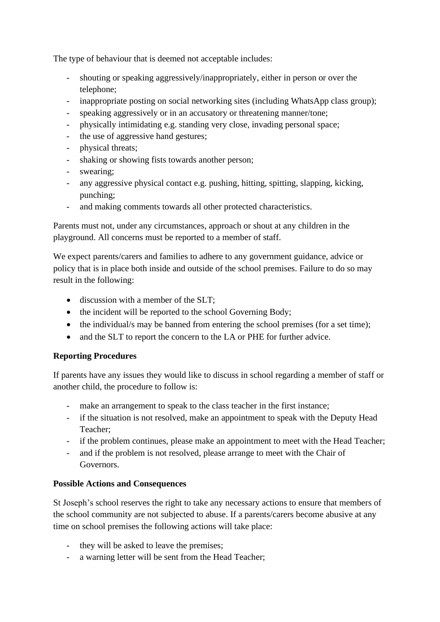The type of behaviour that is deemed not acceptable includes:

- shouting or speaking aggressively/inappropriately, either in person or over the telephone;
- inappropriate posting on social networking sites (including WhatsApp class group);
- speaking aggressively or in an accusatory or threatening manner/tone;
- physically intimidating e.g. standing very close, invading personal space;
- the use of aggressive hand gestures;
- physical threats;
- shaking or showing fists towards another person;
- swearing;
- any aggressive physical contact e.g. pushing, hitting, spitting, slapping, kicking, punching;
- and making comments towards all other protected characteristics.

Parents must not, under any circumstances, approach or shout at any children in the playground. All concerns must be reported to a member of staff.

We expect parents/carers and families to adhere to any government guidance, advice or policy that is in place both inside and outside of the school premises. Failure to do so may result in the following:

- discussion with a member of the SLT;
- the incident will be reported to the school Governing Body;
- the individual/s may be banned from entering the school premises (for a set time);
- and the SLT to report the concern to the LA or PHE for further advice.

#### **Reporting Procedures**

If parents have any issues they would like to discuss in school regarding a member of staff or another child, the procedure to follow is:

- make an arrangement to speak to the class teacher in the first instance;
- if the situation is not resolved, make an appointment to speak with the Deputy Head Teacher;
- if the problem continues, please make an appointment to meet with the Head Teacher;
- and if the problem is not resolved, please arrange to meet with the Chair of Governors.

#### **Possible Actions and Consequences**

St Joseph's school reserves the right to take any necessary actions to ensure that members of the school community are not subjected to abuse. If a parents/carers become abusive at any time on school premises the following actions will take place:

- they will be asked to leave the premises;
- a warning letter will be sent from the Head Teacher;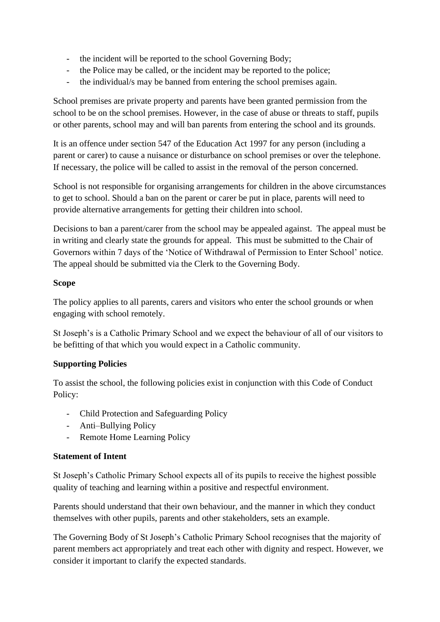- the incident will be reported to the school Governing Body;
- the Police may be called, or the incident may be reported to the police;
- the individual/s may be banned from entering the school premises again.

School premises are private property and parents have been granted permission from the school to be on the school premises. However, in the case of abuse or threats to staff, pupils or other parents, school may and will ban parents from entering the school and its grounds.

It is an offence under section 547 of the Education Act 1997 for any person (including a parent or carer) to cause a nuisance or disturbance on school premises or over the telephone. If necessary, the police will be called to assist in the removal of the person concerned.

School is not responsible for organising arrangements for children in the above circumstances to get to school. Should a ban on the parent or carer be put in place, parents will need to provide alternative arrangements for getting their children into school.

Decisions to ban a parent/carer from the school may be appealed against. The appeal must be in writing and clearly state the grounds for appeal. This must be submitted to the Chair of Governors within 7 days of the 'Notice of Withdrawal of Permission to Enter School' notice. The appeal should be submitted via the Clerk to the Governing Body.

#### **Scope**

The policy applies to all parents, carers and visitors who enter the school grounds or when engaging with school remotely.

St Joseph's is a Catholic Primary School and we expect the behaviour of all of our visitors to be befitting of that which you would expect in a Catholic community.

#### **Supporting Policies**

To assist the school, the following policies exist in conjunction with this Code of Conduct Policy:

- Child Protection and Safeguarding Policy
- Anti–Bullying Policy
- Remote Home Learning Policy

#### **Statement of Intent**

St Joseph's Catholic Primary School expects all of its pupils to receive the highest possible quality of teaching and learning within a positive and respectful environment.

Parents should understand that their own behaviour, and the manner in which they conduct themselves with other pupils, parents and other stakeholders, sets an example.

The Governing Body of St Joseph's Catholic Primary School recognises that the majority of parent members act appropriately and treat each other with dignity and respect. However, we consider it important to clarify the expected standards.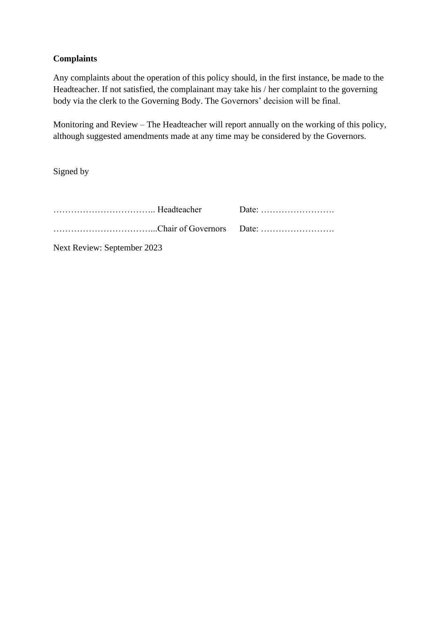#### **Complaints**

Any complaints about the operation of this policy should, in the first instance, be made to the Headteacher. If not satisfied, the complainant may take his / her complaint to the governing body via the clerk to the Governing Body. The Governors' decision will be final.

Monitoring and Review – The Headteacher will report annually on the working of this policy, although suggested amendments made at any time may be considered by the Governors.

Signed by

| Next Review: September 2023 |  |  |
|-----------------------------|--|--|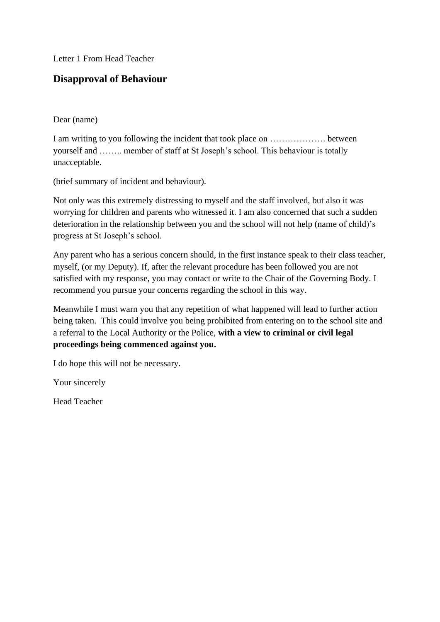Letter 1 From Head Teacher

#### **Disapproval of Behaviour**

#### Dear (name)

I am writing to you following the incident that took place on ………………. between yourself and …….. member of staff at St Joseph's school. This behaviour is totally unacceptable.

(brief summary of incident and behaviour).

Not only was this extremely distressing to myself and the staff involved, but also it was worrying for children and parents who witnessed it. I am also concerned that such a sudden deterioration in the relationship between you and the school will not help (name of child)'s progress at St Joseph's school.

Any parent who has a serious concern should, in the first instance speak to their class teacher, myself, (or my Deputy). If, after the relevant procedure has been followed you are not satisfied with my response, you may contact or write to the Chair of the Governing Body. I recommend you pursue your concerns regarding the school in this way.

Meanwhile I must warn you that any repetition of what happened will lead to further action being taken. This could involve you being prohibited from entering on to the school site and a referral to the Local Authority or the Police, **with a view to criminal or civil legal proceedings being commenced against you.** 

I do hope this will not be necessary.

Your sincerely

Head Teacher